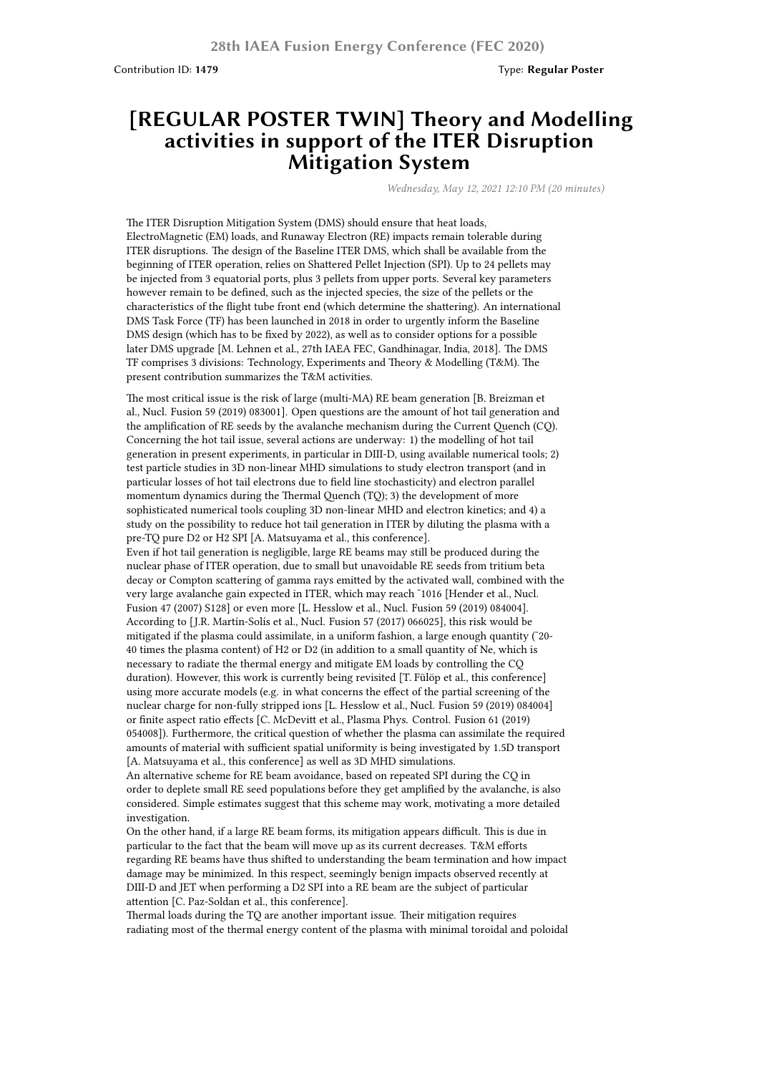Contribution ID: **1479** Type: **Regular Poster**

## **[REGULAR POSTER TWIN] Theory and Modelling activities in support of the ITER Disruption Mitigation System**

*Wednesday, May 12, 2021 12:10 PM (20 minutes)*

The ITER Disruption Mitigation System (DMS) should ensure that heat loads, ElectroMagnetic (EM) loads, and Runaway Electron (RE) impacts remain tolerable during ITER disruptions. The design of the Baseline ITER DMS, which shall be available from the beginning of ITER operation, relies on Shattered Pellet Injection (SPI). Up to 24 pellets may be injected from 3 equatorial ports, plus 3 pellets from upper ports. Several key parameters however remain to be defined, such as the injected species, the size of the pellets or the characteristics of the flight tube front end (which determine the shattering). An international DMS Task Force (TF) has been launched in 2018 in order to urgently inform the Baseline DMS design (which has to be fixed by 2022), as well as to consider options for a possible later DMS upgrade [M. Lehnen et al., 27th IAEA FEC, Gandhinagar, India, 2018]. The DMS TF comprises 3 divisions: Technology, Experiments and Theory & Modelling (T&M). The present contribution summarizes the T&M activities.

The most critical issue is the risk of large (multi-MA) RE beam generation [B. Breizman et al., Nucl. Fusion 59 (2019) 083001]. Open questions are the amount of hot tail generation and the amplification of RE seeds by the avalanche mechanism during the Current Quench (CQ). Concerning the hot tail issue, several actions are underway: 1) the modelling of hot tail generation in present experiments, in particular in DIII-D, using available numerical tools; 2) test particle studies in 3D non-linear MHD simulations to study electron transport (and in particular losses of hot tail electrons due to field line stochasticity) and electron parallel momentum dynamics during the Thermal Quench (TQ); 3) the development of more sophisticated numerical tools coupling 3D non-linear MHD and electron kinetics; and 4) a study on the possibility to reduce hot tail generation in ITER by diluting the plasma with a pre-TQ pure D2 or H2 SPI [A. Matsuyama et al., this conference]. Even if hot tail generation is negligible, large RE beams may still be produced during the nuclear phase of ITER operation, due to small but unavoidable RE seeds from tritium beta decay or Compton scattering of gamma rays emitted by the activated wall, combined with the very large avalanche gain expected in ITER, which may reach ˜1016 [Hender et al., Nucl. Fusion 47 (2007) S128] or even more [L. Hesslow et al., Nucl. Fusion 59 (2019) 084004]. According to [J.R. Martín-Solís et al., Nucl. Fusion 57 (2017) 066025], this risk would be mitigated if the plasma could assimilate, in a uniform fashion, a large enough quantity (˜20- 40 times the plasma content) of H2 or D2 (in addition to a small quantity of Ne, which is necessary to radiate the thermal energy and mitigate EM loads by controlling the CQ duration). However, this work is currently being revisited [T. Fülöp et al., this conference] using more accurate models (e.g. in what concerns the effect of the partial screening of the nuclear charge for non-fully stripped ions [L. Hesslow et al., Nucl. Fusion 59 (2019) 084004] or finite aspect ratio effects [C. McDevitt et al., Plasma Phys. Control. Fusion 61 (2019)

054008]). Furthermore, the critical question of whether the plasma can assimilate the required amounts of material with sufficient spatial uniformity is being investigated by 1.5D transport [A. Matsuyama et al., this conference] as well as 3D MHD simulations. An alternative scheme for RE beam avoidance, based on repeated SPI during the CQ in

order to deplete small RE seed populations before they get amplified by the avalanche, is also considered. Simple estimates suggest that this scheme may work, motivating a more detailed investigation.

On the other hand, if a large RE beam forms, its mitigation appears difficult. This is due in particular to the fact that the beam will move up as its current decreases. T&M efforts regarding RE beams have thus shifted to understanding the beam termination and how impact damage may be minimized. In this respect, seemingly benign impacts observed recently at DIII-D and JET when performing a D2 SPI into a RE beam are the subject of particular attention [C. Paz-Soldan et al., this conference].

Thermal loads during the TQ are another important issue. Their mitigation requires radiating most of the thermal energy content of the plasma with minimal toroidal and poloidal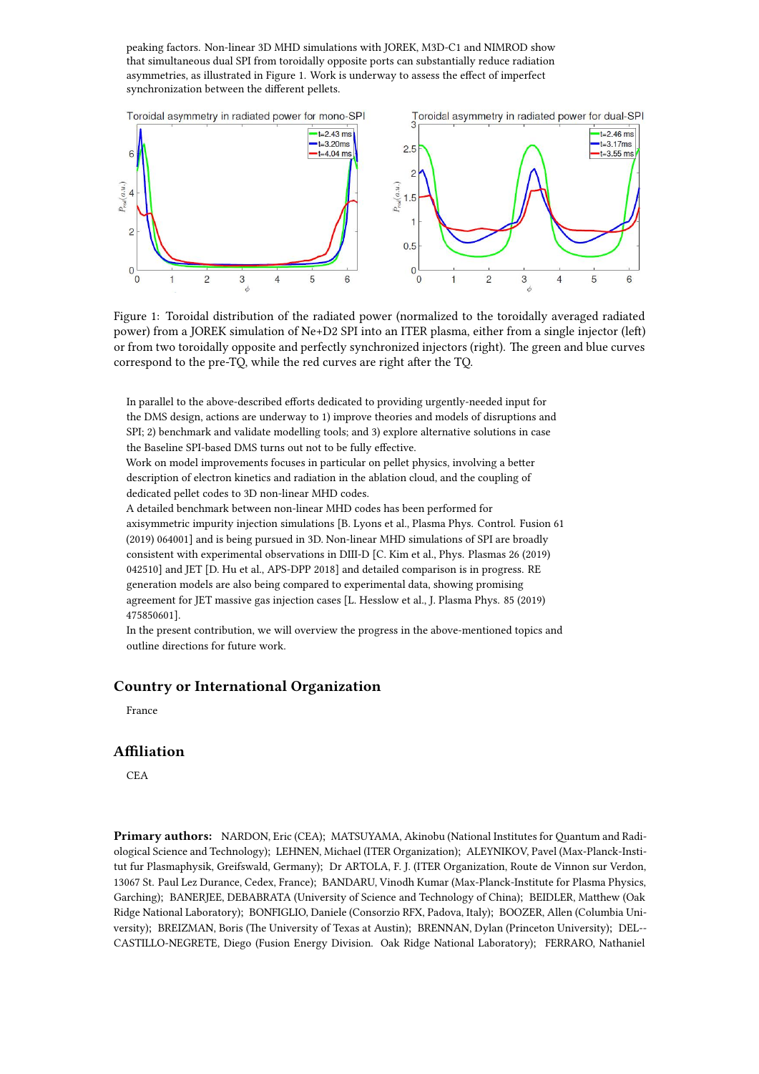peaking factors. Non-linear 3D MHD simulations with JOREK, M3D-C1 and NIMROD show that simultaneous dual SPI from toroidally opposite ports can substantially reduce radiation asymmetries, as illustrated in Figure 1. Work is underway to assess the effect of imperfect synchronization between the different pellets.



Figure 1: Toroidal distribution of the radiated power (normalized to the toroidally averaged radiated power) from a JOREK simulation of Ne+D2 SPI into an ITER plasma, either from a single injector (left) or from two toroidally opposite and perfectly synchronized injectors (right). The green and blue curves correspond to the pre-TQ, while the red curves are right after the TQ.

In parallel to the above-described efforts dedicated to providing urgently-needed input for the DMS design, actions are underway to 1) improve theories and models of disruptions and SPI; 2) benchmark and validate modelling tools; and 3) explore alternative solutions in case the Baseline SPI-based DMS turns out not to be fully effective.

Work on model improvements focuses in particular on pellet physics, involving a better description of electron kinetics and radiation in the ablation cloud, and the coupling of dedicated pellet codes to 3D non-linear MHD codes.

A detailed benchmark between non-linear MHD codes has been performed for axisymmetric impurity injection simulations [B. Lyons et al., Plasma Phys. Control. Fusion 61 (2019) 064001] and is being pursued in 3D. Non-linear MHD simulations of SPI are broadly consistent with experimental observations in DIII-D [C. Kim et al., Phys. Plasmas 26 (2019) 042510] and JET [D. Hu et al., APS-DPP 2018] and detailed comparison is in progress. RE generation models are also being compared to experimental data, showing promising agreement for JET massive gas injection cases [L. Hesslow et al., J. Plasma Phys. 85 (2019) 475850601].

In the present contribution, we will overview the progress in the above-mentioned topics and outline directions for future work.

## **Country or International Organization**

France

## **Affiliation**

CEA

**Primary authors:** NARDON, Eric (CEA); MATSUYAMA, Akinobu (National Institutes for Quantum and Radiological Science and Technology); LEHNEN, Michael (ITER Organization); ALEYNIKOV, Pavel (Max-Planck-Institut fur Plasmaphysik, Greifswald, Germany); Dr ARTOLA, F. J. (ITER Organization, Route de Vinnon sur Verdon, 13067 St. Paul Lez Durance, Cedex, France); BANDARU, Vinodh Kumar (Max-Planck-Institute for Plasma Physics, Garching); BANERJEE, DEBABRATA (University of Science and Technology of China); BEIDLER, Matthew (Oak Ridge National Laboratory); BONFIGLIO, Daniele (Consorzio RFX, Padova, Italy); BOOZER, Allen (Columbia University); BREIZMAN, Boris (The University of Texas at Austin); BRENNAN, Dylan (Princeton University); DEL-- CASTILLO-NEGRETE, Diego (Fusion Energy Division. Oak Ridge National Laboratory); FERRARO, Nathaniel